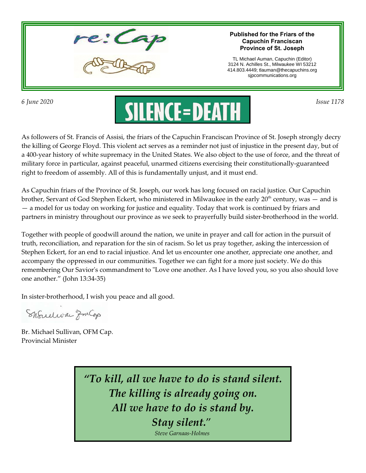

#### **Published for the Friars of the Capuchin Franciscan Province of St. Joseph**

TL Michael Auman, Capuchin (Editor) 3124 N. Achilles St., Milwaukee WI 53212 414.803.4449; tlauman@thecapuchins.org sjpcommunications.org

# *6 June* 2020<br>**SILENCE = DEATH**

As followers of St. Francis of Assisi, the friars of the Capuchin Franciscan Province of St. Joseph strongly decry the killing of George Floyd. This violent act serves as a reminder not just of injustice in the present day, but of a 400-year history of white supremacy in the United States. We also object to the use of force, and the threat of military force in particular, against peaceful, unarmed citizens exercising their constitutionally-guaranteed right to freedom of assembly. All of this is fundamentally unjust, and it must end.

As Capuchin friars of the Province of St. Joseph, our work has long focused on racial justice. Our Capuchin brother, Servant of God Stephen Eckert, who ministered in Milwaukee in the early  $20<sup>th</sup>$  century, was  $-$  and is — a model for us today on working for justice and equality. Today that work is continued by friars and partners in ministry throughout our province as we seek to prayerfully build sister-brotherhood in the world.

Together with people of goodwill around the nation, we unite in prayer and call for action in the pursuit of truth, reconciliation, and reparation for the sin of racism. So let us pray together, asking the intercession of Stephen Eckert, for an end to racial injustice. And let us encounter one another, appreciate one another, and accompany the oppressed in our communities. Together we can fight for a more just society. We do this remembering Our Savior's commandment to "Love one another. As I have loved you, so you also should love one another." (John 13:34-35)

In sister-brotherhood, I wish you peace and all good.

Shfreewar ZmCop

Br. Michael Sullivan, OFM Cap. Provincial Minister

> *"To kill, all we have to do is stand silent. The killing is already going on. All we have to do is stand by. Stay silent.*"

> > *Steve Garnaas-Holmes*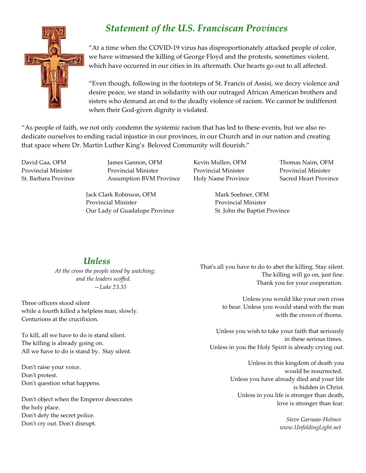

#### *Statement of the U.S. Franciscan Provinces*

"At a time when the COVID-19 virus has disproportionately attacked people of color, we have witnessed the killing of George Floyd and the protests, sometimes violent, which have occurred in our cities in its aftermath. Our hearts go out to all affected.

"Even though, following in the footsteps of St. Francis of Assisi, we decry violence and desire peace, we stand in solidarity with our outraged African American brothers and sisters who demand an end to the deadly violence of racism. We cannot be indifferent when their God-given dignity is violated.

"As people of faith, we not only condemn the systemic racism that has led to these events, but we also rededicate ourselves to ending racial injustice in our provinces, in our Church and in our nation and creating that space where Dr. Martin Luther King's Beloved Community will flourish."

David Gaa, OFM James Gannon, OFM Kevin Mullen, OFM Thomas Naim, OFM Provincial Minister Provincial Minister Provincial Minister Provincial Minister St. Barbara Province Assumption BVM Province Holy Name Province Sacred Heart Province

> Jack Clark Robinson, OFM Mark Soehner, OFM Provincial Minister **Provincial Minister** Our Lady of Guadalupe Province St. John the Baptist Province

#### *Unless*

 *At the cross the people stood by watching; and the leaders scoffed. —Luke 23.35*

Three officers stood silent while a fourth killed a helpless man, slowly. Centurions at the crucifixion.

To kill, all we have to do is stand silent. The killing is already going on. All we have to do is stand by. Stay silent.

Don't raise your voice. Don't protest. Don't question what happens.

Don't object when the Emperor desecrates the holy place. Don't defy the secret police. Don't cry out. Don't disrupt.

That's all you have to do to abet the killing. Stay silent. The killing will go on, just fine. Thank you for your cooperation.

> Unless you would like your own cross to bear. Unless you would stand with the man with the crown of thorns.

Unless you wish to take your faith that seriously in these serious times. Unless in you the Holy Spirit is already crying out.

> Unless in this kingdom of death you would be resurrected. Unless you have already died and your life is hidden in Christ. Unless in you life is stronger than death, love is stronger than fear.

> > *Steve Garnaas-Holmes www.UnfoldingLight.net*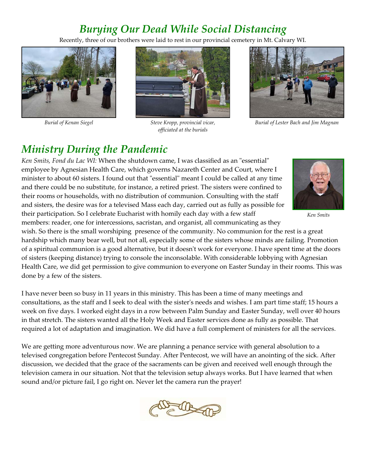## *Burying Our Dead While Social Distancing*

Recently, three of our brothers were laid to rest in our provincial cemetery in Mt. Calvary WI.



*Burial of Kenan Siegel*



*Steve Kropp, provincial vicar, officiated at the burials*



*Burial of Lester Bach and Jim Magnan*

### *Ministry During the Pandemic*

*Ken Smits, Fond du Lac WI:* When the shutdown came, I was classified as an "essential" employee by Agnesian Health Care, which governs Nazareth Center and Court, where I minister to about 60 sisters. I found out that "essential" meant I could be called at any time and there could be no substitute, for instance, a retired priest. The sisters were confined to their rooms or households, with no distribution of communion. Consulting with the staff and sisters, the desire was for a televised Mass each day, carried out as fully as possible for their participation. So I celebrate Eucharist with homily each day with a few staff members: reader, one for intercessions, sacristan, and organist, all communicating as they



*Ken Smits*

wish. So there is the small worshiping presence of the community. No communion for the rest is a great hardship which many bear well, but not all, especially some of the sisters whose minds are failing. Promotion of a spiritual communion is a good alternative, but it doesn't work for everyone. I have spent time at the doors of sisters (keeping distance) trying to console the inconsolable. With considerable lobbying with Agnesian Health Care, we did get permission to give communion to everyone on Easter Sunday in their rooms. This was done by a few of the sisters.

I have never been so busy in 11 years in this ministry. This has been a time of many meetings and consultations, as the staff and I seek to deal with the sister's needs and wishes. I am part time staff; 15 hours a week on five days. I worked eight days in a row between Palm Sunday and Easter Sunday, well over 40 hours in that stretch. The sisters wanted all the Holy Week and Easter services done as fully as possible. That required a lot of adaptation and imagination. We did have a full complement of ministers for all the services.

We are getting more adventurous now. We are planning a penance service with general absolution to a televised congregation before Pentecost Sunday. After Pentecost, we will have an anointing of the sick. After discussion, we decided that the grace of the sacraments can be given and received well enough through the television camera in our situation. Not that the television setup always works. But I have learned that when sound and/or picture fail, I go right on. Never let the camera run the prayer!